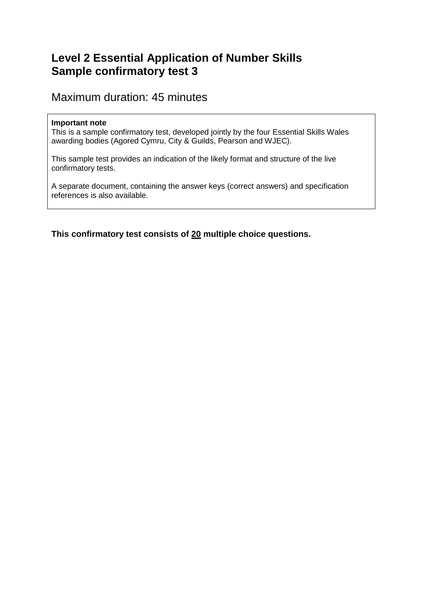# **Level 2 Essential Application of Number Skills Sample confirmatory test 3**

Maximum duration: 45 minutes

### **Important note**

This is a sample confirmatory test, developed jointly by the four Essential Skills Wales awarding bodies (Agored Cymru, City & Guilds, Pearson and WJEC).

This sample test provides an indication of the likely format and structure of the live confirmatory tests.

A separate document, containing the answer keys (correct answers) and specification references is also available.

**This confirmatory test consists of 20 multiple choice questions.**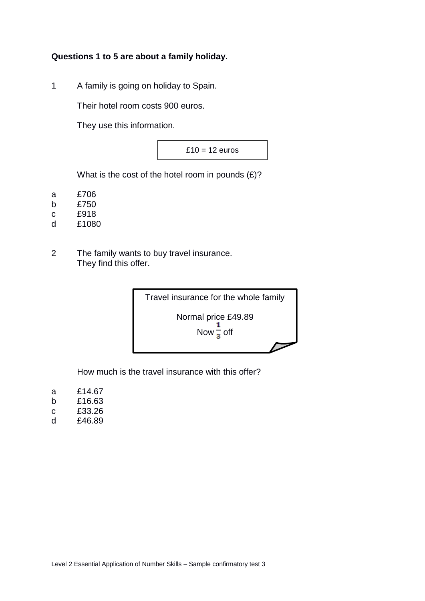# **Questions 1 to 5 are about a family holiday.**

1 A family is going on holiday to Spain.

Their hotel room costs 900 euros.

They use this information.

 $£10 = 12$  euros

What is the cost of the hotel room in pounds  $(E)?$ 

- a £706
- b £750
- c £918
- d £1080
- 2 The family wants to buy travel insurance. They find this offer.



How much is the travel insurance with this offer?

- a £14.67
- b £16.63
- c £33.26
- d £46.89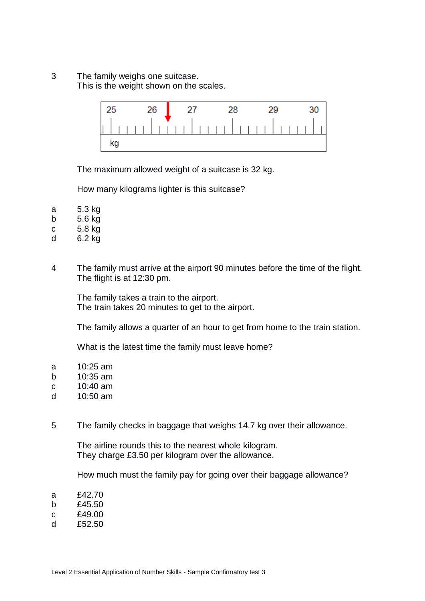3 The family weighs one suitcase. This is the weight shown on the scales.



The maximum allowed weight of a suitcase is 32 kg.

How many kilograms lighter is this suitcase?

- a 5.3 kg
- b 5.6 kg
- c 5.8 kg
- d 6.2 kg
- 4 The family must arrive at the airport 90 minutes before the time of the flight. The flight is at 12:30 pm.

The family takes a train to the airport. The train takes 20 minutes to get to the airport.

The family allows a quarter of an hour to get from home to the train station.

What is the latest time the family must leave home?

- a 10:25 am
- b 10:35 am
- c 10:40 am
- d 10:50 am
- 5 The family checks in baggage that weighs 14.7 kg over their allowance.

The airline rounds this to the nearest whole kilogram. They charge £3.50 per kilogram over the allowance.

How much must the family pay for going over their baggage allowance?

- a £42.70
- b £45.50
- c £49.00
- d £52.50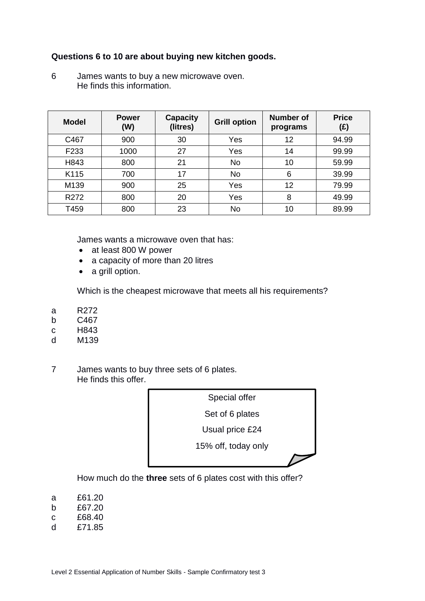# **Questions 6 to 10 are about buying new kitchen goods.**

6 James wants to buy a new microwave oven. He finds this information.

| <b>Model</b>     | <b>Power</b><br>(W) | <b>Capacity</b><br>(litres) | <b>Grill option</b> | Number of<br>programs | <b>Price</b><br>(£) |
|------------------|---------------------|-----------------------------|---------------------|-----------------------|---------------------|
| C467             | 900                 | 30                          | Yes                 | 12                    | 94.99               |
| F <sub>233</sub> | 1000                | 27                          | Yes                 | 14                    | 99.99               |
| H843             | 800                 | 21                          | <b>No</b>           | 10                    | 59.99               |
| K115             | 700                 | 17                          | <b>No</b>           | 6                     | 39.99               |
| M139             | 900                 | 25                          | Yes                 | 12                    | 79.99               |
| R272             | 800                 | 20                          | Yes                 | 8                     | 49.99               |
| T459             | 800                 | 23                          | <b>No</b>           | 10                    | 89.99               |

James wants a microwave oven that has:

- at least 800 W power
- a capacity of more than 20 litres
- a grill option.

Which is the cheapest microwave that meets all his requirements?

- a R272
- b C467
- c H843
- d M139
- 7 James wants to buy three sets of 6 plates. He finds this offer.



How much do the **three** sets of 6 plates cost with this offer?

- a £61.20
- b £67.20
- c £68.40
- d £71.85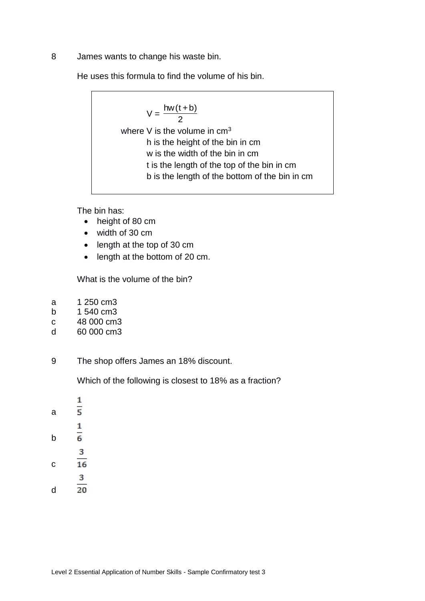8 James wants to change his waste bin.

He uses this formula to find the volume of his bin.

$$
V = \frac{hw(t+b)}{2}
$$

where V is the volume in cm<sup>3</sup> h is the height of the bin in cm w is the width of the bin in cm t is the length of the top of the bin in cm b is the length of the bottom of the bin in cm

The bin has:

- height of 80 cm
- width of 30 cm
- length at the top of 30 cm
- length at the bottom of 20 cm.

What is the volume of the bin?

- a 1 250 cm3
- b 1 540 cm3
- c 48 000 cm3
- d 60 000 cm3
- 9 The shop offers James an 18% discount.

Which of the following is closest to 18% as a fraction?

- $\mathbf{1}$  $\overline{5}$ a  $\mathbf{1}$  $\overline{6}$ b 3  $\overline{16}$ c 3
- $\overline{20}$ d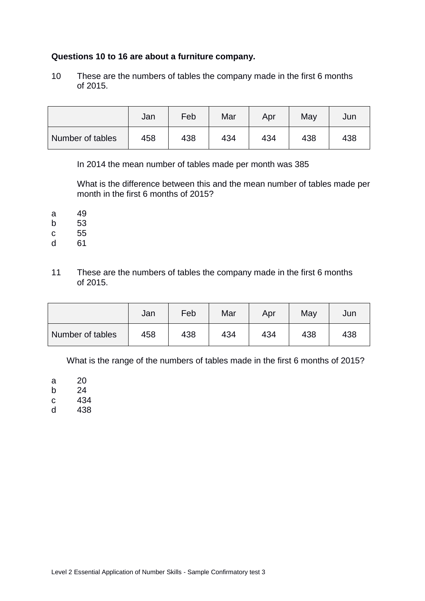## **Questions 10 to 16 are about a furniture company.**

10 These are the numbers of tables the company made in the first 6 months of 2015.

|                  | Jan | Feb | Mar | Apr | May | Jun |
|------------------|-----|-----|-----|-----|-----|-----|
| Number of tables | 458 | 438 | 434 | 434 | 438 | 438 |

In 2014 the mean number of tables made per month was 385

What is the difference between this and the mean number of tables made per month in the first 6 months of 2015?

- a 49
- b 53
- c 55
- d 61
- 11 These are the numbers of tables the company made in the first 6 months of 2015.

|                  | Jan | Feb | Mar | Apr | May | Jun |
|------------------|-----|-----|-----|-----|-----|-----|
| Number of tables | 458 | 438 | 434 | 434 | 438 | 438 |

What is the range of the numbers of tables made in the first 6 months of 2015?

a 20

- b 24
- c 434
- d 438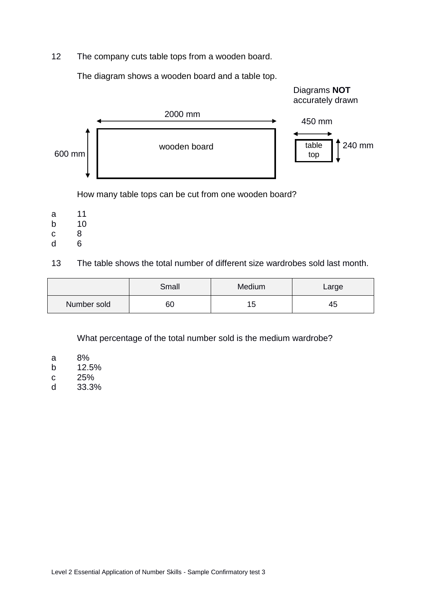12 The company cuts table tops from a wooden board.

The diagram shows a wooden board and a table top.

Diagrams **NOT** accurately drawn



How many table tops can be cut from one wooden board?

- a 11
- b 10
- c 8
- d 6

13 The table shows the total number of different size wardrobes sold last month.

|             | Small | Medium | Large |
|-------------|-------|--------|-------|
| Number sold | 60    | 15     | 45    |

What percentage of the total number sold is the medium wardrobe?

- a 8%
- b 12.5%
- c 25%
- d 33.3%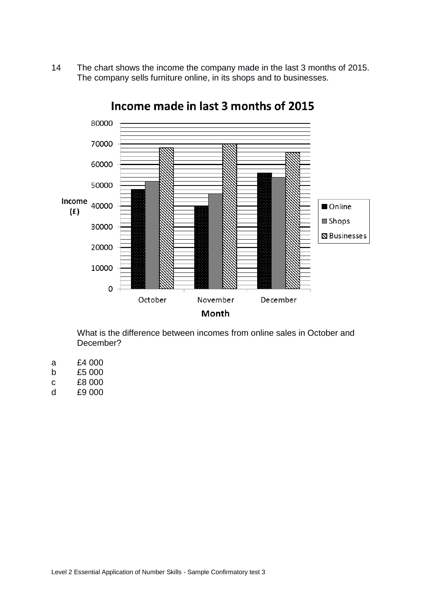14 The chart shows the income the company made in the last 3 months of 2015. The company sells furniture online, in its shops and to businesses.



Income made in last 3 months of 2015

What is the difference between incomes from online sales in October and December?

| £4 000 |
|--------|
|        |

- b £5 000
- c £8 000
- d £9 000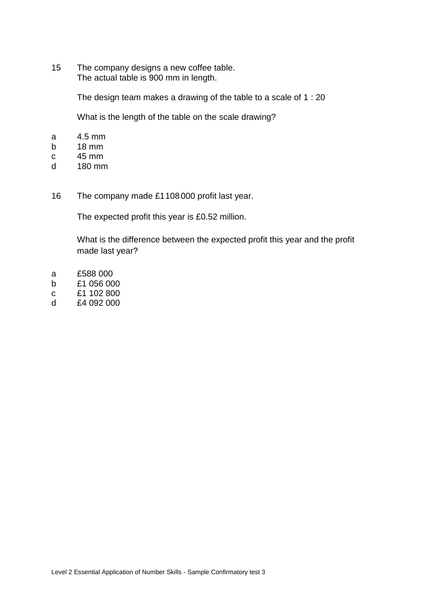15 The company designs a new coffee table. The actual table is 900 mm in length.

The design team makes a drawing of the table to a scale of 1 : 20

What is the length of the table on the scale drawing?

- a 4.5 mm
- b 18 mm
- c 45 mm
- d 180 mm
- 16 The company made £1108000 profit last year.

The expected profit this year is £0.52 million.

What is the difference between the expected profit this year and the profit made last year?

- a £588 000
- b £1 056 000
- c £1 102 800
- d £4 092 000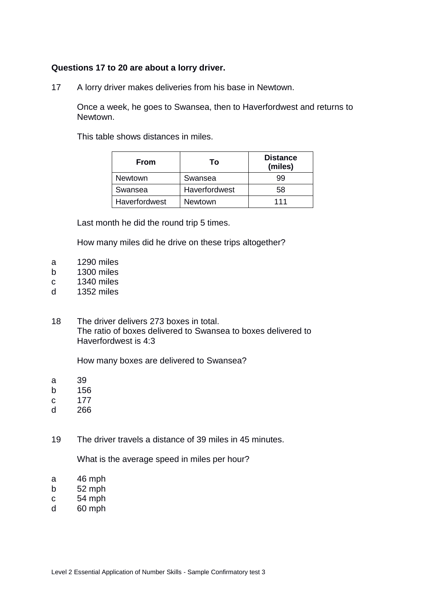### **Questions 17 to 20 are about a lorry driver.**

17 A lorry driver makes deliveries from his base in Newtown.

Once a week, he goes to Swansea, then to Haverfordwest and returns to Newtown.

This table shows distances in miles.

| <b>From</b>    | Т٥             | <b>Distance</b><br>(miles) |  |
|----------------|----------------|----------------------------|--|
| <b>Newtown</b> | Swansea        | 99                         |  |
| Swansea        | Haverfordwest  | 58                         |  |
| Haverfordwest  | <b>Newtown</b> | 111                        |  |

Last month he did the round trip 5 times.

How many miles did he drive on these trips altogether?

- a 1290 miles
- b 1300 miles
- c 1340 miles
- d 1352 miles
- 18 The driver delivers 273 boxes in total. The ratio of boxes delivered to Swansea to boxes delivered to Haverfordwest is 4:3

How many boxes are delivered to Swansea?

- a 39
- b 156
- c 177
- d 266
- 19 The driver travels a distance of 39 miles in 45 minutes.

What is the average speed in miles per hour?

- a 46 mph
- $b$  52 mph
- c 54 mph
- d 60 mph